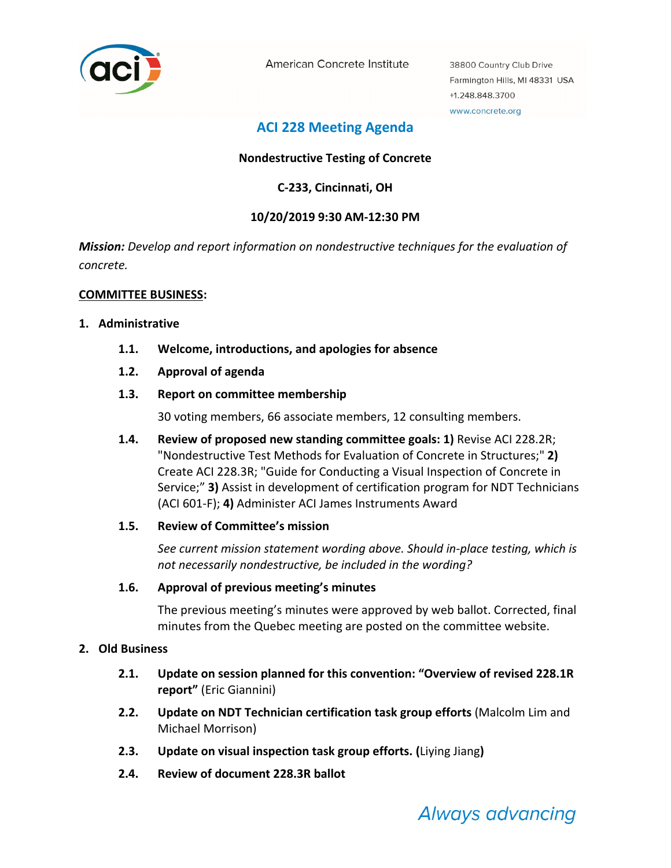

American Concrete Institute

38800 Country Club Drive Farmington Hills, MI 48331 USA +1.248.848.3700 www.concrete.org

# **ACI 228 Meeting Agenda**

# **Nondestructive Testing of Concrete**

**C‐233, Cincinnati, OH** 

# **10/20/2019 9:30 AM‐12:30 PM**

*Mission: Develop and report information on nondestructive techniques for the evaluation of concrete.* 

#### **COMMITTEE BUSINESS:**

#### **1. Administrative**

- **1.1. Welcome, introductions, and apologies for absence**
- **1.2. Approval of agenda**

#### **1.3. Report on committee membership**

30 voting members, 66 associate members, 12 consulting members.

**1.4. Review of proposed new standing committee goals: 1)** Revise ACI 228.2R; "Nondestructive Test Methods for Evaluation of Concrete in Structures;" **2)** Create ACI 228.3R; "Guide for Conducting a Visual Inspection of Concrete in Service;" **3)** Assist in development of certification program for NDT Technicians (ACI 601‐F); **4)** Administer ACI James Instruments Award

#### **1.5. Review of Committee's mission**

*See current mission statement wording above. Should in‐place testing, which is not necessarily nondestructive, be included in the wording?* 

#### **1.6. Approval of previous meeting's minutes**

The previous meeting's minutes were approved by web ballot. Corrected, final minutes from the Quebec meeting are posted on the committee website.

#### **2. Old Business**

- **2.1. Update on session planned for this convention: "Overview of revised 228.1R report"** (Eric Giannini)
- **2.2. Update on NDT Technician certification task group efforts** (Malcolm Lim and Michael Morrison)
- **2.3. Update on visual inspection task group efforts. (**Liying Jiang**)**
- **2.4. Review of document 228.3R ballot**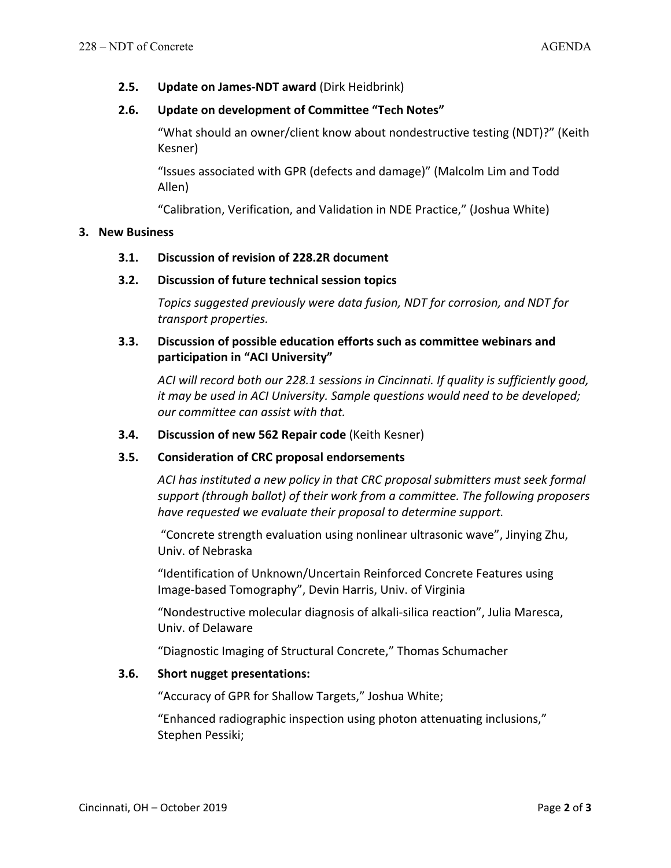**2.5. Update on James‐NDT award** (Dirk Heidbrink)

# **2.6. Update on development of Committee "Tech Notes"**

"What should an owner/client know about nondestructive testing (NDT)?" (Keith Kesner)

"Issues associated with GPR (defects and damage)" (Malcolm Lim and Todd Allen)

"Calibration, Verification, and Validation in NDE Practice," (Joshua White)

# **3. New Business**

#### **3.1. Discussion of revision of 228.2R document**

# **3.2. Discussion of future technical session topics**

*Topics suggested previously were data fusion, NDT for corrosion, and NDT for transport properties.*

# **3.3. Discussion of possible education efforts such as committee webinars and participation in "ACI University"**

*ACI will record both our 228.1 sessions in Cincinnati. If quality is sufficiently good, it may be used in ACI University. Sample questions would need to be developed; our committee can assist with that.* 

### **3.4. Discussion of new 562 Repair code** (Keith Kesner)

# **3.5. Consideration of CRC proposal endorsements**

*ACI has instituted a new policy in that CRC proposal submitters must seek formal support (through ballot) of their work from a committee. The following proposers have requested we evaluate their proposal to determine support.*

 "Concrete strength evaluation using nonlinear ultrasonic wave", Jinying Zhu, Univ. of Nebraska

"Identification of Unknown/Uncertain Reinforced Concrete Features using Image‐based Tomography", Devin Harris, Univ. of Virginia

"Nondestructive molecular diagnosis of alkali‐silica reaction", Julia Maresca, Univ. of Delaware

"Diagnostic Imaging of Structural Concrete," Thomas Schumacher

# **3.6. Short nugget presentations:**

"Accuracy of GPR for Shallow Targets," Joshua White;

"Enhanced radiographic inspection using photon attenuating inclusions," Stephen Pessiki;